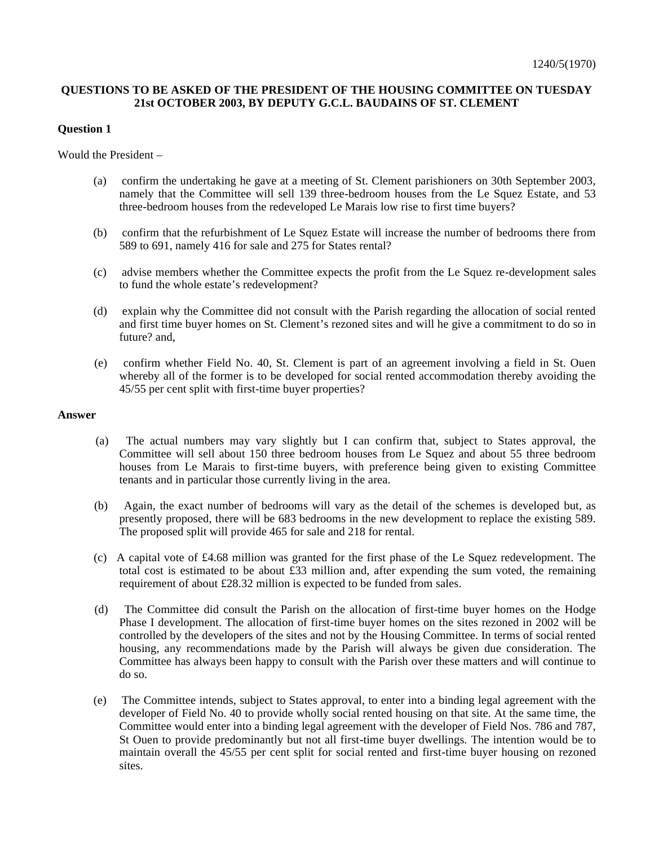## **QUESTIONS TO BE ASKED OF THE PRESIDENT OF THE HOUSING COMMITTEE ON TUESDAY 21st OCTOBER 2003, BY DEPUTY G.C.L. BAUDAINS OF ST. CLEMENT**

### **Question 1**

Would the President –

- (a) confirm the undertaking he gave at a meeting of St. Clement parishioners on 30th September 2003, namely that the Committee will sell 139 three-bedroom houses from the Le Squez Estate, and 53 three-bedroom houses from the redeveloped Le Marais low rise to first time buyers?
- (b) confirm that the refurbishment of Le Squez Estate will increase the number of bedrooms there from 589 to 691, namely 416 for sale and 275 for States rental?
- (c) advise members whether the Committee expects the profit from the Le Squez re-development sales to fund the whole estate's redevelopment?
- (d) explain why the Committee did not consult with the Parish regarding the allocation of social rented and first time buyer homes on St. Clement's rezoned sites and will he give a commitment to do so in future? and,
- (e) confirm whether Field No. 40, St. Clement is part of an agreement involving a field in St. Ouen whereby all of the former is to be developed for social rented accommodation thereby avoiding the 45/55 per cent split with first-time buyer properties?

#### **Answer**

- (a) The actual numbers may vary slightly but I can confirm that, subject to States approval, the Committee will sell about 150 three bedroom houses from Le Squez and about 55 three bedroom houses from Le Marais to first-time buyers, with preference being given to existing Committee tenants and in particular those currently living in the area.
- (b) Again, the exact number of bedrooms will vary as the detail of the schemes is developed but, as presently proposed, there will be 683 bedrooms in the new development to replace the existing 589. The proposed split will provide 465 for sale and 218 for rental.
- (c) A capital vote of £4.68 million was granted for the first phase of the Le Squez redevelopment. The total cost is estimated to be about £33 million and, after expending the sum voted, the remaining requirement of about £28.32 million is expected to be funded from sales.
- (d) The Committee did consult the Parish on the allocation of first-time buyer homes on the Hodge Phase I development. The allocation of first-time buyer homes on the sites rezoned in 2002 will be controlled by the developers of the sites and not by the Housing Committee. In terms of social rented housing, any recommendations made by the Parish will always be given due consideration. The Committee has always been happy to consult with the Parish over these matters and will continue to do so.
- (e) The Committee intends, subject to States approval, to enter into a binding legal agreement with the developer of Field No. 40 to provide wholly social rented housing on that site. At the same time, the Committee would enter into a binding legal agreement with the developer of Field Nos. 786 and 787, St Ouen to provide predominantly but not all first-time buyer dwellings. The intention would be to maintain overall the 45/55 per cent split for social rented and first-time buyer housing on rezoned sites.